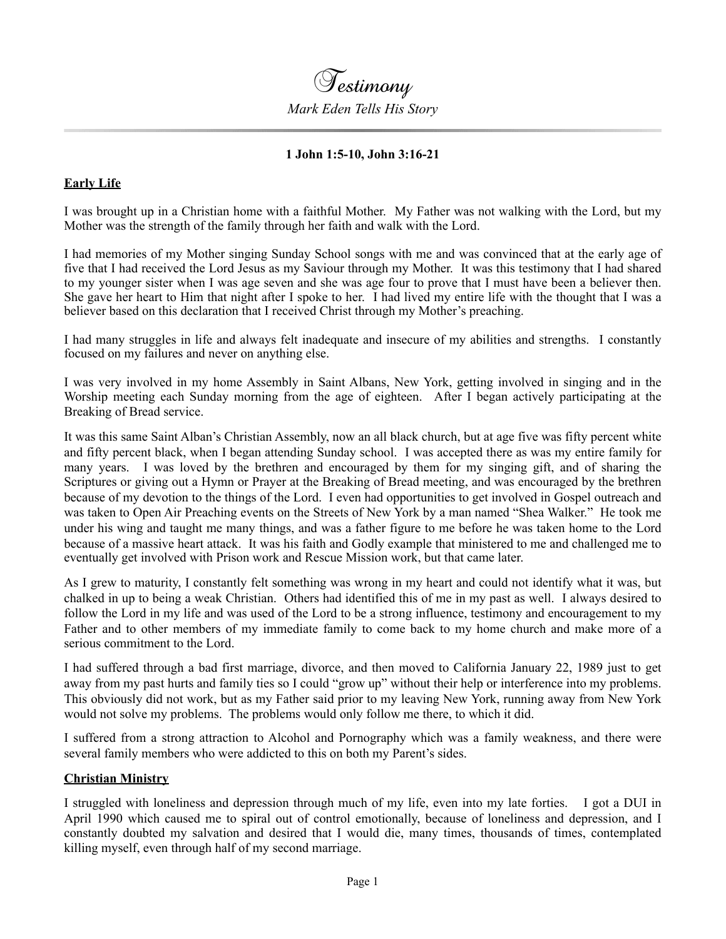

#### **1 John 1:5-10, John 3:16-21**

## **Early Life**

I was brought up in a Christian home with a faithful Mother. My Father was not walking with the Lord, but my Mother was the strength of the family through her faith and walk with the Lord.

I had memories of my Mother singing Sunday School songs with me and was convinced that at the early age of five that I had received the Lord Jesus as my Saviour through my Mother. It was this testimony that I had shared to my younger sister when I was age seven and she was age four to prove that I must have been a believer then. She gave her heart to Him that night after I spoke to her. I had lived my entire life with the thought that I was a believer based on this declaration that I received Christ through my Mother's preaching.

I had many struggles in life and always felt inadequate and insecure of my abilities and strengths. I constantly focused on my failures and never on anything else.

I was very involved in my home Assembly in Saint Albans, New York, getting involved in singing and in the Worship meeting each Sunday morning from the age of eighteen. After I began actively participating at the Breaking of Bread service.

It was this same Saint Alban's Christian Assembly, now an all black church, but at age five was fifty percent white and fifty percent black, when I began attending Sunday school. I was accepted there as was my entire family for many years. I was loved by the brethren and encouraged by them for my singing gift, and of sharing the Scriptures or giving out a Hymn or Prayer at the Breaking of Bread meeting, and was encouraged by the brethren because of my devotion to the things of the Lord. I even had opportunities to get involved in Gospel outreach and was taken to Open Air Preaching events on the Streets of New York by a man named "Shea Walker." He took me under his wing and taught me many things, and was a father figure to me before he was taken home to the Lord because of a massive heart attack. It was his faith and Godly example that ministered to me and challenged me to eventually get involved with Prison work and Rescue Mission work, but that came later.

As I grew to maturity, I constantly felt something was wrong in my heart and could not identify what it was, but chalked in up to being a weak Christian. Others had identified this of me in my past as well. I always desired to follow the Lord in my life and was used of the Lord to be a strong influence, testimony and encouragement to my Father and to other members of my immediate family to come back to my home church and make more of a serious commitment to the Lord.

I had suffered through a bad first marriage, divorce, and then moved to California January 22, 1989 just to get away from my past hurts and family ties so I could "grow up" without their help or interference into my problems. This obviously did not work, but as my Father said prior to my leaving New York, running away from New York would not solve my problems. The problems would only follow me there, to which it did.

I suffered from a strong attraction to Alcohol and Pornography which was a family weakness, and there were several family members who were addicted to this on both my Parent's sides.

#### **Christian Ministry**

I struggled with loneliness and depression through much of my life, even into my late forties. I got a DUI in April 1990 which caused me to spiral out of control emotionally, because of loneliness and depression, and I constantly doubted my salvation and desired that I would die, many times, thousands of times, contemplated killing myself, even through half of my second marriage.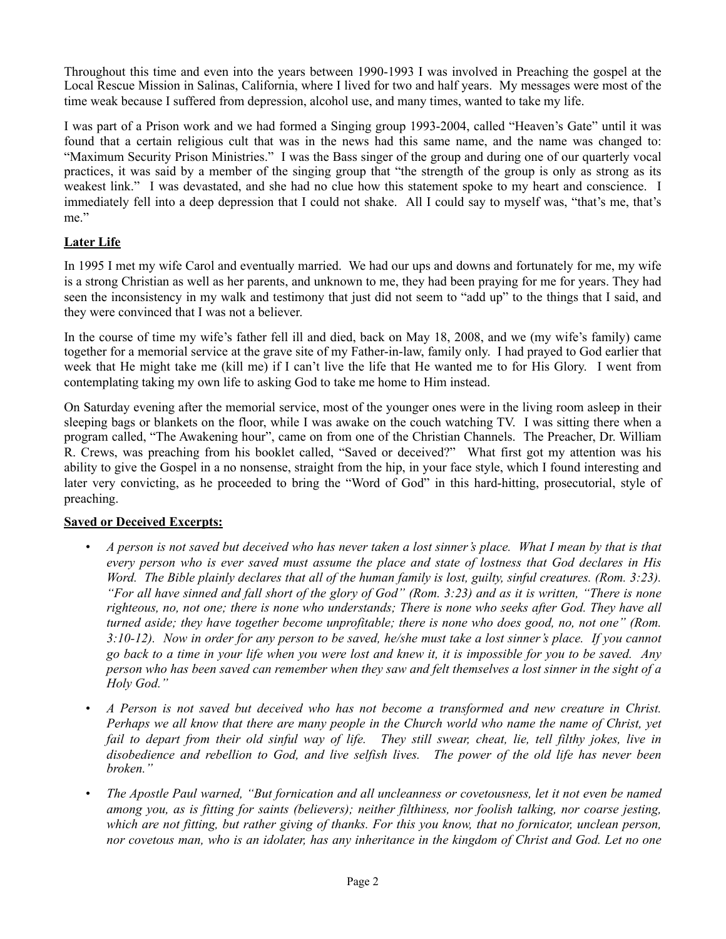Throughout this time and even into the years between 1990-1993 I was involved in Preaching the gospel at the Local Rescue Mission in Salinas, California, where I lived for two and half years. My messages were most of the time weak because I suffered from depression, alcohol use, and many times, wanted to take my life.

I was part of a Prison work and we had formed a Singing group 1993-2004, called "Heaven's Gate" until it was found that a certain religious cult that was in the news had this same name, and the name was changed to: "Maximum Security Prison Ministries." I was the Bass singer of the group and during one of our quarterly vocal practices, it was said by a member of the singing group that "the strength of the group is only as strong as its weakest link." I was devastated, and she had no clue how this statement spoke to my heart and conscience. I immediately fell into a deep depression that I could not shake. All I could say to myself was, "that's me, that's me."

# **Later Life**

In 1995 I met my wife Carol and eventually married. We had our ups and downs and fortunately for me, my wife is a strong Christian as well as her parents, and unknown to me, they had been praying for me for years. They had seen the inconsistency in my walk and testimony that just did not seem to "add up" to the things that I said, and they were convinced that I was not a believer.

In the course of time my wife's father fell ill and died, back on May 18, 2008, and we (my wife's family) came together for a memorial service at the grave site of my Father-in-law, family only. I had prayed to God earlier that week that He might take me (kill me) if I can't live the life that He wanted me to for His Glory. I went from contemplating taking my own life to asking God to take me home to Him instead.

On Saturday evening after the memorial service, most of the younger ones were in the living room asleep in their sleeping bags or blankets on the floor, while I was awake on the couch watching TV. I was sitting there when a program called, "The Awakening hour", came on from one of the Christian Channels. The Preacher, Dr. William R. Crews, was preaching from his booklet called, "Saved or deceived?" What first got my attention was his ability to give the Gospel in a no nonsense, straight from the hip, in your face style, which I found interesting and later very convicting, as he proceeded to bring the "Word of God" in this hard-hitting, prosecutorial, style of preaching.

## **Saved or Deceived Excerpts:**

- *• A person is not saved but deceived who has never taken a lost sinner's place. What I mean by that is that every person who is ever saved must assume the place and state of lostness that God declares in His Word. The Bible plainly declares that all of the human family is lost, guilty, sinful creatures. (Rom. 3:23). "For all have sinned and fall short of the glory of God" (Rom. 3:23) and as it is written, "There is none righteous, no, not one; there is none who understands; There is none who seeks after God. They have all turned aside; they have together become unprofitable; there is none who does good, no, not one" (Rom. 3:10-12). Now in order for any person to be saved, he/she must take a lost sinner's place. If you cannot go back to a time in your life when you were lost and knew it, it is impossible for you to be saved. Any person who has been saved can remember when they saw and felt themselves a lost sinner in the sight of a Holy God."*
- *• A Person is not saved but deceived who has not become a transformed and new creature in Christ. Perhaps we all know that there are many people in the Church world who name the name of Christ, yet fail to depart from their old sinful way of life. They still swear, cheat, lie, tell filthy jokes, live in disobedience and rebellion to God, and live selfish lives. The power of the old life has never been broken."*
- *• The Apostle Paul warned, "But fornication and all uncleanness or covetousness, let it not even be named among you, as is fitting for saints (believers); neither filthiness, nor foolish talking, nor coarse jesting, which are not fitting, but rather giving of thanks. For this you know, that no fornicator, unclean person, nor covetous man, who is an idolater, has any inheritance in the kingdom of Christ and God. Let no one*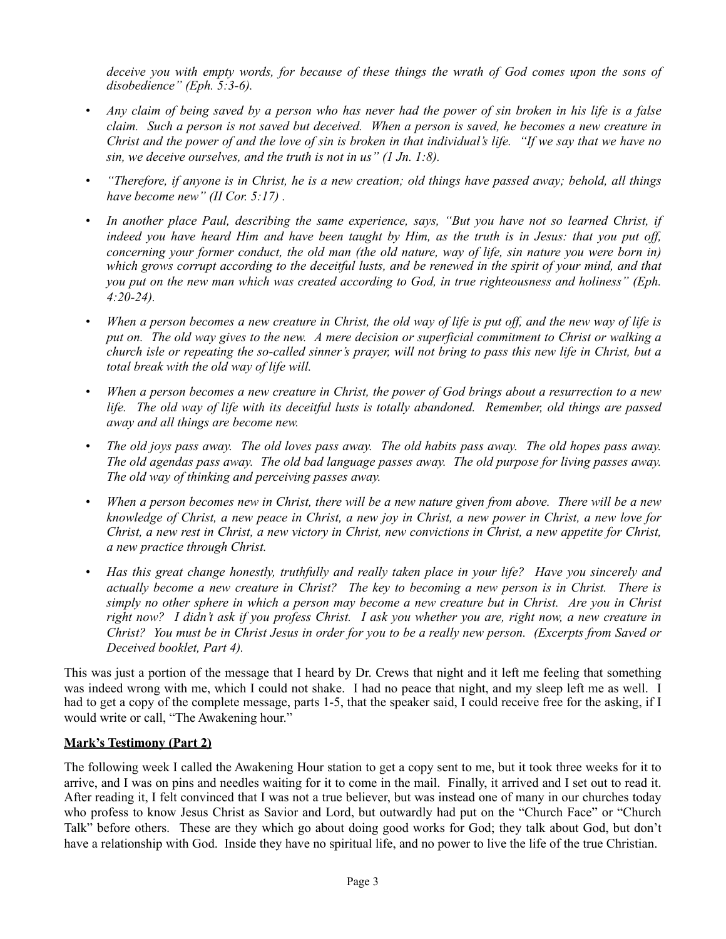*deceive you with empty words, for because of these things the wrath of God comes upon the sons of disobedience" (Eph. 5:3-6).*

- *• Any claim of being saved by a person who has never had the power of sin broken in his life is a false claim. Such a person is not saved but deceived. When a person is saved, he becomes a new creature in Christ and the power of and the love of sin is broken in that individual's life. "If we say that we have no sin, we deceive ourselves, and the truth is not in us" (1 Jn. 1:8).*
- *• "Therefore, if anyone is in Christ, he is a new creation; old things have passed away; behold, all things have become new" (II Cor. 5:17) .*
- *• In another place Paul, describing the same experience, says, "But you have not so learned Christ, if indeed you have heard Him and have been taught by Him, as the truth is in Jesus: that you put off, concerning your former conduct, the old man (the old nature, way of life, sin nature you were born in) which grows corrupt according to the deceitful lusts, and be renewed in the spirit of your mind, and that you put on the new man which was created according to God, in true righteousness and holiness" (Eph. 4:20-24).*
- *• When a person becomes a new creature in Christ, the old way of life is put off, and the new way of life is put on. The old way gives to the new. A mere decision or superficial commitment to Christ or walking a church isle or repeating the so-called sinner's prayer, will not bring to pass this new life in Christ, but a total break with the old way of life will.*
- *• When a person becomes a new creature in Christ, the power of God brings about a resurrection to a new life. The old way of life with its deceitful lusts is totally abandoned. Remember, old things are passed away and all things are become new.*
- *• The old joys pass away. The old loves pass away. The old habits pass away. The old hopes pass away. The old agendas pass away. The old bad language passes away. The old purpose for living passes away. The old way of thinking and perceiving passes away.*
- *• When a person becomes new in Christ, there will be a new nature given from above. There will be a new knowledge of Christ, a new peace in Christ, a new joy in Christ, a new power in Christ, a new love for Christ, a new rest in Christ, a new victory in Christ, new convictions in Christ, a new appetite for Christ, a new practice through Christ.*
- *• Has this great change honestly, truthfully and really taken place in your life? Have you sincerely and actually become a new creature in Christ? The key to becoming a new person is in Christ. There is simply no other sphere in which a person may become a new creature but in Christ. Are you in Christ right now? I didn't ask if you profess Christ. I ask you whether you are, right now, a new creature in Christ? You must be in Christ Jesus in order for you to be a really new person. (Excerpts from Saved or Deceived booklet, Part 4).*

This was just a portion of the message that I heard by Dr. Crews that night and it left me feeling that something was indeed wrong with me, which I could not shake. I had no peace that night, and my sleep left me as well. I had to get a copy of the complete message, parts 1-5, that the speaker said, I could receive free for the asking, if I would write or call, "The Awakening hour."

## **Mark's Testimony (Part 2)**

The following week I called the Awakening Hour station to get a copy sent to me, but it took three weeks for it to arrive, and I was on pins and needles waiting for it to come in the mail. Finally, it arrived and I set out to read it. After reading it, I felt convinced that I was not a true believer, but was instead one of many in our churches today who profess to know Jesus Christ as Savior and Lord, but outwardly had put on the "Church Face" or "Church Talk" before others. These are they which go about doing good works for God; they talk about God, but don't have a relationship with God. Inside they have no spiritual life, and no power to live the life of the true Christian.